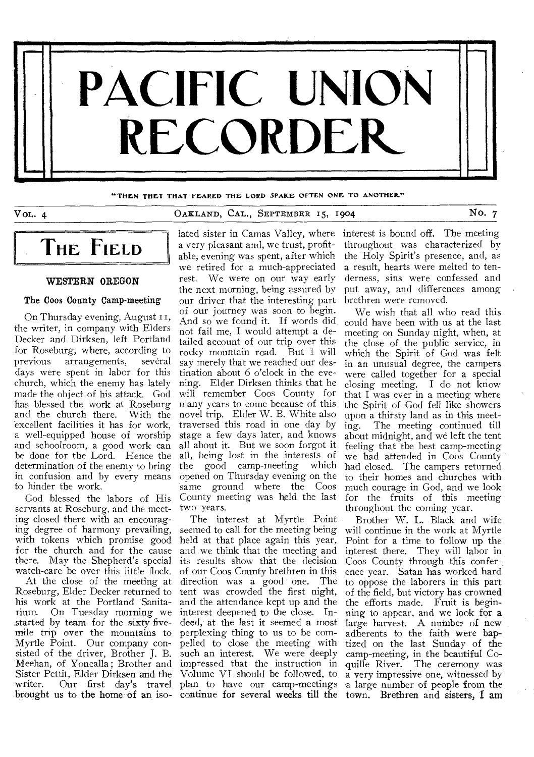

"THEN THEY THAT FEARED THE LORD SPAKE OFTEN ONE TO ANOTHER."

# VOL. 4 OAKLAND, CAL., SEPTEMBER 15, 1904 No. 7

# **THE FIELD**

# WESTERN OREGON

#### The Coos County Camp-meeting

On Thursday evening, August II, the writer, in company with Elders Decker and Dirksen, left Portland for Roseburg, where, according to previous arrangements, several days were spent in labor for this church, which the enemy has lately made the object of his attack. God has blessed the work at Roseburg and the church there. With the excellent facilities it has for work, a well-equipped house of worship and schoolroom, a good work can be done for the Lord. Hence the determination of the enemy to bring in confusion and by every means to hinder the work.

God blessed the labors of His servants at Roseburg, and the meeting closed there with an encouraging degree of harmony prevailing, with tokens which promise good for the church and for the cause there. May the Shepherd's special watch-care be over this little flock.

At the close of the meeting at Roseburg, Elder Decker returned to his work at the Portland Sanitarium. On Tuesday morning we started by team for the sixty-fivemile trip over the mountains to Myrtle Point. Our company consisted of the driver, Brother J. B. Meehan, of Yoncalla ; Brother and Sister Pettit, Elder Dirksen and the<br>writer. Our first day's travel Our first day's travel brought us to the home of an iso-

a very pleasant and, we trust, profitable, evening was spent, after which we retired for a much-appreciated rest. We were on our way early the next morning, being assured by our driver that the interesting part of our journey was soon to begin. And so we found it. If words did not fail me, I would attempt a detailed account of our trip over this rocky mountain road. But I will say merely that we reached our destination about 6 o'clock in the evening. Elder Dirksen thinks that he will remember Coos County for many years to come because of this novel trip. Elder W. B. White also traversed this road in one day by stage a few days later, and knows all about it. But we soon forgot it all, being lost in the interests of<br>the good camp-meeting which the good camp-meeting opened on Thursday evening on the same ground where the Coos County meeting was held the last two years.

The interest at Myrtle Point seemed to call for the meeting being held at that place again this year, and we think that the meeting and its results show that the decision of our Coos County brethren in this direction was a good one. The tent was crowded the first night, and the attendance kept up and the interest deepened to the close. Indeed, at the last it seemed a most perplexing thing to us to be compelled to close the meeting with such an interest. We were deeply impressed that the instruction in Volume VI should be followed, to plan to have our camp-meetings

lated sister in Camas Valley, where interest is bound off. The meeting throughout was characterized by the Holy Spirit's presence, and, as a result, hearts were melted to tenderness, sins were confessed and put away, and differences among brethren were removed.

> We wish that all who read this could have been with us at the last meeting on Sunday night, when, at the close of the public service, in which the Spirit of God was felt in an unusual degree, the campers were called together for a special closing meeting. I do not know that I was ever in a meeting where the Spirit of God fell like showers upon a thirsty land as in this meeting. The meeting continued till about midnight, and we left the tent feeling that the best camp-meeting we had attended in Coos County had closed. The campers returned to their homes and churches with much courage in God, and we look for the fruits of this meeting throughout the coming year.

continue for several weeks till the town. Brethren and sisters, I am Brother W. L. Black and wife will continue in the work at Myrtle Point for a time to follow up the interest there. They will labor in Coos County through this conference year. Satan has worked hard to oppose the laborers in this part of the field, but victory has crowned the efforts made. Fruit is beginning to appear, and we look for a large harvest. A number of new adherents to the faith were baptized on the last Sunday of the camp-meeting, in the beautiful Co- .quille River. The ceremony was a very impressive one, witnessed by 'a large number of people from the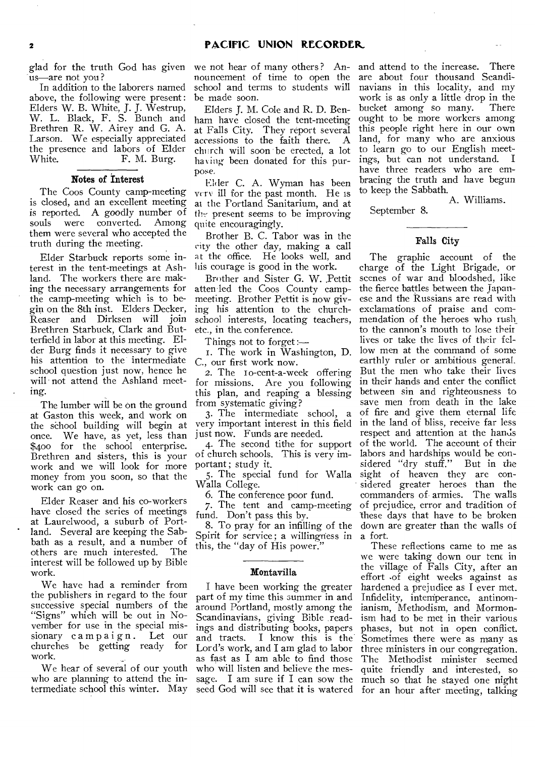glad for the truth God has given us—are not you?

In addition to the laborers named above, the following were present : Elders W. B. White, J. **J.** Westrup, W. L. Black, F. S. Bunch and Brethren R. W. Airey and G. A. Larson. We especially appreciated the presence and labors of Elder White. F. M. Burg.

#### **Notes of Interest**

The Coos County camp-meeting is closed, and an excellent meeting is reported. A goodly number of<br>souls were converted. Among were converted. them were several who accepted the truth during the meeting.

Elder Starbuck reports some interest in the tent-meetings at Ashland. The workers there are making the necessary arrangements for the camp-meeting which is to begin on the 8th inst. Elders Decker, Reaser and Dirksen will join Brethren Starbuck, Clark and Butterfield in labor at this meeting. Elder Burg finds it necessary to give his attention to the intermediate school question just now, hence he will not attend the Ashland meeting.

The lumber will be on the ground at Gaston this week, and work on the school building will begin at once. We have, as yet, less than \$400 for the school enterprise. Brethren and sisters, this is your work and we will look for more money from you soon, so that the work can go on.

Elder Reaser and his co-workers have closed the series of meetings at Laurelwood, a suburb of Portland. Several are keeping the Sabbath as a result, and a number of others are much interested. The interest will be followed up by Bible work.

We have had a reminder from the publishers in regard to the four successive special numbers of the "Signs" which will be out in November for use in the special missionary campaign. Let our<br>churches be getting ready for churches be getting ready work.

We hear of several of our youth who are planning to attend the intermediate school this winter. May

we not hear of many others? Announcement of time to open the school and terms to students will be made soon.

Elders **J.** M. Cole and R. D. Benham have closed the tent-meeting at Falls City. They report several accessions to the faith there. A church will soon be erected, a lot having been donated for this purpose.

Elder C. A. Wyman has been very ill for the past month. He is at the Portland Sanitarium, and at the present seems to be improving quite encouragingly.

Brother B. C. Tabor was in the city the other day, making a call at the office. He looks well, and his courage is good in the work.

Brother and Sister G. W. .Pettit atten led the Coos County campmeeting. Brother Pettit is now giving his attention to the churchschool interests, locating teachers, etc., in the conference.

Things not to forget :—

I. The work in Washington, D. C., our first work now.

2. The to-cent-a-week offering for missions. Are you following this plan, and reaping a blessing from systematic giving?

3. The intermediate school, a very important interest in this field just now. Funds are needed.

4. The second tithe for support of church schools. This is very important; study it.

5. The special fund for Walla Walla College.

6. The conference poor fund.

7. The tent and camp-meeting fund. Don't pass this by.

8. To pray for an infilling of the Spirit for service ; a willingness in this, the "day of His power."

#### **Montavilla**

I have been working the greater part of my time this summer in and around Portland, mostly among the Scandinavians, giving Bible readings and distributing books, papers and tracts. **I** know this is the Lord's work, and **I** am glad to labor as fast as **I** am able to find those who will listen and believe the mes-

and attend to the increase. There are about four thousand Scandinavians in this locality, and my work is as only a little drop in the bucket among so many. There ought to be more workers among this people right here in our own land, for many who are anxious to learn go to our English meet-<br>ings, but can not understand. I ings, but can not understand. have three readers who are embracing the truth and have begun to keep the Sabbath.

A. Williams.

September 8.

# **Falls City**

The graphic account of the charge of the Light Brigade, or scenes of war and bloodshed, like the fierce battles between the Japanese and the Russians are read with exclamations of praise and commendation of the heroes who rush to the cannon's mouth to lose their lives or take the lives of their fellow men at the command of some earthly ruler or ambitious general. But the men who take their lives in their hands and enter the conflict between sin and righteousness to save men from death in the lake of fire and give them eternal life in the land of bliss, receive far less respect and attention at the hands of the world. The account of their labors and hardships would be considered "dry stuff." But in the sight of heaven they are considered greater heroes than the commanders of armies. The-walls of prejudice, error and tradition of these days that have to be broken down are greater than the walls of a fort.

sage. I am sure if **I** can sow the much so that he stayed one night seed God will see that it is watered for an hour after meeting, talking These reflections came to me as we were taking down our tent in the village of Falls City, after an effort .of eight weeks against as hardened a prejudice as **I** ever met. Infidelity, intemperance, antinomianism, Methodism, and Mormonism had to be met in their various phases, but not in open conflict. Sometimes there were as many as three ministers in our congregation. The Methodist minister seemed quite friendly and interested, so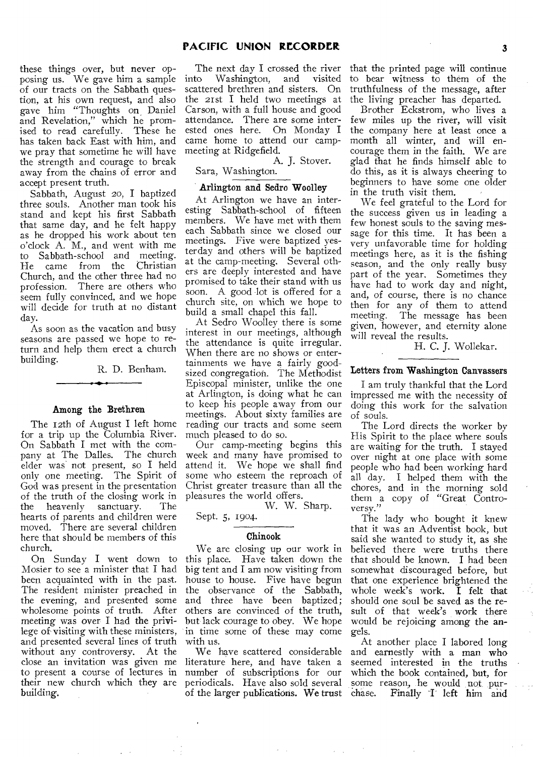these things over, but never opposing us. We gave him a sample of our tracts on the Sabbath question, at his own request, and also gave him "Thoughts on Daniel and Revelation," which he promised to read carefully. These he has taken back East with him, and we pray that sometime he will have the strength and courage to break away from the chains of error and accept present truth.

Sabbath, August 20, I baptized three souls. Another man took his stand and kept his first Sabbath that same day, and he felt happy as he dropped his work about ten o'clock A. M., and went with me to Sabbath-school and meeting. He came from the Church, and the other three had no profession. There are others who seem fully convinced, and we hope will decide for truth at no distant day.

As soon as the vacation and busy seasons are passed we hope to return and help them erect a church building.

R. D. Benham.

#### Among the Brethren

The 12th of August I left home for a trip up the Columbia River. On Sabbath I met with the company at The Dalles. The church elder was not present, so I held only one meeting. The Spirit of God was present in the presentation of the truth of the closing work in the heavenly sanctuary. The hearts of parents and children were moved. There are several children here that should be members of this church.

On Sunday I went down to Mosier to see a minister that I had been acquainted with in the past. The resident minister preached in the evening, and presented some wholesome points of truth. After meeting was over I had the privilege of visiting with these ministers, and presented several lines of truth without any controversy. At the close an invitation was given me to present a course of lectures in their new church which they are building.

The next day I crossed the river<br>into Washington, and visited Washington, and scattered brethren and sisters. On the 21st I held two meetings at Carson, with a full house and good attendance. There are some interested ones here. On Monday I came home to attend our campmeeting at Ridgefield.

A. J. Stover. Sara, Washington.

#### Arlington and Sedro Woolley

At Arlington we have an interesting Sabbath-school of fifteen members. We have met with them each Sabbath since we closed our meetings. Five were baptized yesterday and others will be baptized at the camp-meeting. Several others are deeply interested and have promised to take their stand with us soon. A good lot is offered for a church site, on which we hope to build a small chapel this fall.

At Sedro Woolley there is some interest in our meetings, although the attendance is quite irregular. When there are no shows or entertainments we have a fairly goodsized congregation. The Methodist Episcopal minister, unlike the one at Arlington, is doing what he can to keep his people away from our meetings. About sixty families are reading our tracts and some seem much pleased to do so.

Our camp-meeting begins this week and many have promised to attend it. We hope we shall find some who esteem the reproach of Christ greater treasure than all the pleasures the world offers.

W. W. Sharp. Sept. 5, 1904.

#### Chinook

We are closing up our work in this place. Have taken down the big tent and I am now visiting from house to house. Five have begun the observance of the Sabbath, and three have been baptized; others are convinced of the truth, but lack courage to obey. We hope in time some of these may come with us.

We have scattered considerable literature here, and have taken a number of subscriptions for our periodicals. Have also sold several of the larger publications. We trust

that the printed page will continue to bear witness to them of the truthfulness of the message, after the living preacher has departed.

Brother Eckstrom, who lives a few miles up the river, will visit the company here at least once a month all winter, and will encourage them in the faith. We are glad that he finds himself able to do this, as it is always cheering to beginners to have some one older in the truth visit them.

We feel grateful to the Lord for the success given us in leading a few honest souls to the saving message for this time. It has been a very unfavorable time for holding meetings here, as it is the fishing season, and the only really busy part of the year. Sometimes they have had to work day and night, and, of course, there is no chance then for any of them to attend<br>meeting. The message has been The message has been given, however, and eternity alone will reveal the results.

#### H. C. J. Wollekar.

#### Letters from Washington Canvassers

I am truly thankful that the Lord impressed me with the necessity of doing this work for the salvation of souls.

The Lord directs the worker by His Spirit to the place where souls are waiting for the truth. I stayed over night at one place with some people who had been working hard all day. I helped them with the chores, and in the morning sold them a copy of "Great Controversy."

The lady who bought it knew that it was an Adventist book, but said she wanted to study it, as she believed there were truths there that should be known. I had been somewhat discouraged before, but that one experience brightened the whole week's work. I felt that should one soul be saved as the result of that week's work there would be rejoicing among the angels.

At another place I labored long and earnestly with a man who seemed interested in the truths which the book contained, but, for some reason, he would not pur-<br>chase. Finally T left him and Finally T left him and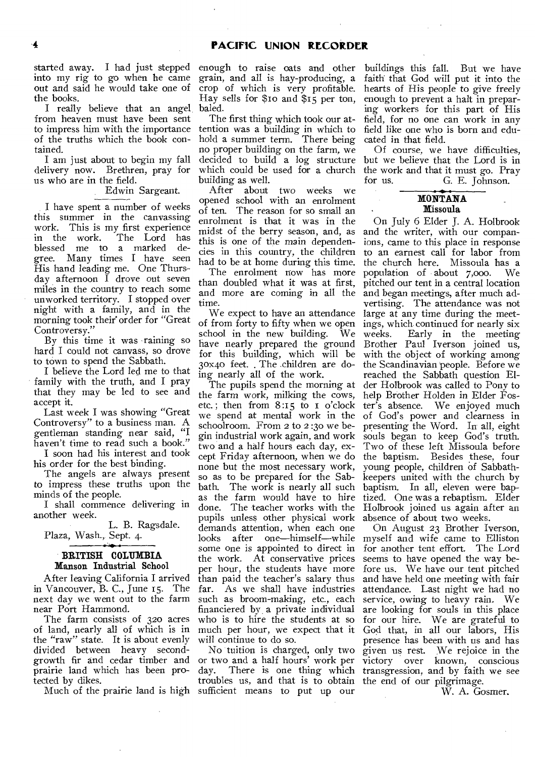started away. I had just stepped into my rig to go when he came out and said he would take one of the books.

I really believe that an angel from heaven must have been sent to impress him with the importance of the truths which the book contained.

I am just about to begin my fall delivery now. Brethren, pray for us who are in the field.

### Edwin Sargeant.

I have spent a number of weeks this summer in the canvassing work. This is my first experience in the work. The Lord has blessed me to a marked gree. Many times I have seen His hand leading me. One Thursday afternoon I drove out seven miles in the country to reach some unworked territory. I stopped over night with a family, and in the morning took their order for "Great" Controversy."

By this time it was raining so hard I could not canvass, so drove to town to spend the Sabbath.

I believe the Lord led me to that family with the truth, and I pray that they may be led to see and accept it.

Last week I was showing "Great Controversy" to a business man. A gentleman standing near said, "I haven't time to read such a book."

**I** soon had his interest and took his order for the best binding.

The angels are always present to impress these truths upon the minds of the people.

I shall commence delivering in another week.

L. B. Ragsdale. Plaza, Wash., Sept. 4.

#### **BRITISH COLUMBIA Manson Industrial School**

After leaving California I arrived in Vancouver, B. C., June 15. The next day we went out to the farm near Port Hammond.

The farm consists of 32o acres of land, nearly all of which is in the "raw" state. It is about evenly divided between heavy secondgrowth fir and cedar timber and prairie land which has been protected by dikes.

enough to raise oats and other grain, and all is hay-producing, a crop of which is very profitable. Hay sells for \$io and \$15 per ton, baled.

The first thing which took our attention was a building in which to hold a summer term. There being no proper building on the farm, we decided to build a log structure which could be used for a church building as well.

After about two weeks we opened school with an enrolment of ten. The reason for so small an enrolment is that it was in the midst of the berry season, and, as this is one of the main dependencies in this country, the children had to be at home during this time.

The enrolment now has more than doubled what it was at first, and more are coming in all the time.

We expect to have an attendance of from forty to fifty when we open school in the new building. We have nearly prepared the ground for this building, which will be 30x40 feet. , The .children are doing nearly all of the work.

The pupils spend the morning at the farm work, milking the cows, etc. ; then from 8:15 to I o'clock we spend at mental work in the schoolroom. From 2 to 2 :3o we begin industrial work again, and work two and a half hours each day, except Friday afternoon, when we do none but the most necessary work, so as to be prepared for the Sabbath. The work is nearly all such The work is nearly all such as the farm would have to hire done. The teacher works with the pupils unless other physical work demands attention, when each one<br>looks after one—himself—while after one—himself—while some one is appointed to direct in the work. At conservative prices per hour, the students have more than paid the teacher's salary thus far. As we shall have industries such as broom-making, etc., each financiered by a private individual who is to hire the students at so much per hour, we expect that it will continue to do so.

Much of the prairie land **is** high sufficient means to put up our No tuition is charged, only two troubles us, and that is to obtain the end of our pilgrimage.

buildings this fall. But we have faith that God will put it into the hearts of His people to give freely enough to prevent a halt in preparing workers for this part of His field, for no one can work in any field like one who is born and educated in that field.

Of course, we have difficulties, but we believe that the Lord is in the work and that it must go. Pray<br>for us.  $G$ . E. Johnson. G. E. Johnson.

# **MONTANA Missoula**

On July 6 Elder J. A. Holbrook and the writer, with our companions, came to this place in response to an earnest call for labor from the church here. Missoula has a<br>population of about 7,000. We population of about  $7,000$ . pitched our tent in a central location and began meetings, after much advertising. The attendance was not large at any time during the meetings, which continued for nearly six weeks. Early in the meeting Brother Paul Iverson joined us, with the object of working among the Scandinavian people. Before we reached the Sabbath question Elder Holbrook was called to Pony to help Brother Holden in Elder Foster's absence. We enjoyed much of God's power and clearness in presenting the Word. In all, eight souls began to keep God's truth. Two of these left Missoula before the baptism. Besides these, four young people, children of Sabbathkeepers united with the church by baptism. In all, eleven were baptized. One was a rebaptism. Elder Holbrook joined us again after an absence of about two weeks.

or two and a half hours' work per victory over known, conscious day. There is one thing which transgression, and by faith we see On August 23 Brother Iverson, myself and wife came to Elliston for another tent effort. The Lord seems to have opened the way before us. We have our tent pitched and have held one meeting with fair attendance. Last night we had no service, owing to heavy rain. We are looking for souls in this place for our hire. We are grateful to God that, in all our labors, His presence has been with us and has given us rest. We rejoice in the

W. A. Gosmer.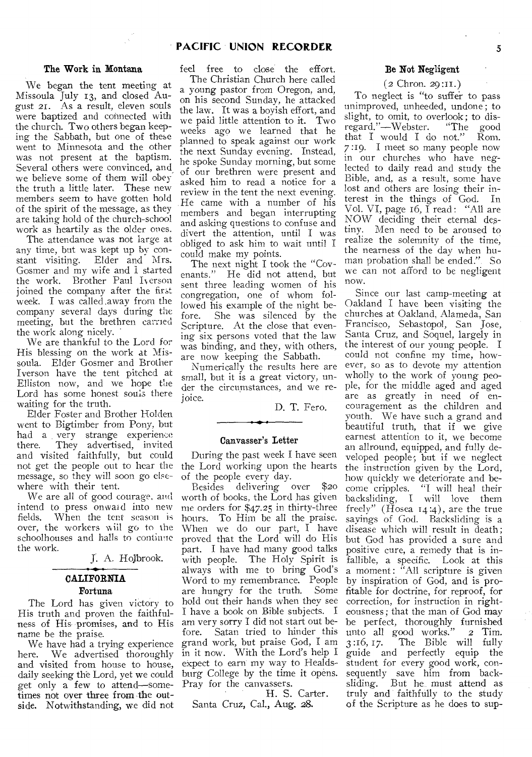# **PACIFIC UNION RECORDER** 5

#### **The Work in Montana**

We began the tent meeting at Missoula July 13, and closed August 21. As a result, eleven souls were baptized and connected with the church. Two others began keeping the Sabbath, but one of these went to Minnesota and the other was not present at the baptism. Several others were convinced, and we believe some of them will obey the truth a little later. These new members seem to have gotten hold of the spirit of the message, as they are taking hold of the church-school work as heartily as the older ones.

The attendance was not large at any time, but was kept up by constant visiting. Elder and Mrs. Gosmer and my wife and I started the work. Brother Paul Iverson joined the company after the first week. I was called .away from the company several days during the meeting, but the brethren carried the work along nicely.

We are thankful to the Lord for His blessing on the work at Missoula. Elder Gosmer and Brother Iverson have the tent pitched at Elliston now, and we hope the Lord has some honest souls there waiting for the truth.

Elder Foster and Brother Holden went to Bigtimber from Pony, but had a very strange experience<br>there. They advertised, invited They advertised, invited and visited faithfully, but could not get the people out to hear the the Lord working upon the hearts message, so they will soon go elsewhere with their tent.

We are all of good courage, and intend to press onward into new<br>fields. When the tent season is When the tent season is over, the workers will go to the schoolhouses and halls to continue the work.

J. A. Holbrook.

# **CALIFORNIA Fortuna**

The Lord has given victory to His truth and proven the faithfulness of His promises, and to His name be the praise.

We have had a trying experience here. We advertised thoroughly and visited from house to house, daily seeking the Lord, yet we could get only a few to attend—sometimes not over three from the outside. Notwithstanding, we did not

feel free to close the effort. The Christian Church here called a young pastor from Oregon, and, on his second Sunday, he attacked the law. It was a boyish effort, and we paid little attention to it. Two weeks ago we learned that he planned to speak against our work the next Sunday evening. Instead, he spoke Sunday morning, but some of our brethren were present and asked him to read a notice for a review in the tent the next evening. He came with a number of his members and began interrupting and asking questions to confuse and divert the attention, until I was obliged to ask him to wait until I could make my points.

The next night I took the "Covenants." He did not attend, but sent three leading women of his congregation, one of whom followed his example of the night before. She was silenced by the Scripture. At the close that evening six persons voted that the law was binding, and they, with others, are now keeping the Sabbath.

Numerically the results here are small, but it is a great victory, under the circumstances, and we rejoice.

D. T. Fero.

#### **Canvasser's Letter**

During the past week I have seen of the people every day.

Besides delivering over \$20 worth of books, the Lord has given me orders for \$47.25 in thirty-three hours. To Him be all the praise. When we do our part, I have proved that the Lord will do His part. I have had many good talks with people. The Holy Spirit is always with me to bring God's Word to my remembrance. People are hungry for the truth. Some hold out their hands when they see I have a book on Bible subjects. I am very sorry I did not start out be-Satan tried to hinder this grand work, but praise God, I am in it now. With the Lord's help I expect to earn my way to Healdsburg College by the time it opens. Pray for the canvassers.

H. S. Carter.

Santa Cruz, Cal., Aug. 28.

#### **Be Not Negligent**

#### $(2 \text{Chron. } 29:11.)$

To neglect is "to suffer to pass unimproved, unheeded, undone ; to slight, to omit, to overlook; to disregard."—Webster. "The good that I would I do not." Rom. 7 :19. I meet so many people now in our churches who have neglected to daily read and study the Bible, and, as a result, some have lost and others are losing their interest in the things of God. In Vol. VI, page 16,  $\overline{I}$  read: "All are NOW deciding their eternal destiny. Men need to be aroused to realize the solemnity of the time, the nearness of the day when human probation shall be ended.", So we can not afford to be negligent now.

Since our last camp-meeting at Oakland I have been visiting the churches at Oakland, Alameda, San Francisco, Sebastopol, San Jose, Santa Cruz, and Soquel, largely in the interest of our young people. I could not confine my time, however, so as to devote my attention wholly to the work of young people, for the middle aged and aged are as greatly in need of encouragement as the children and youth. We have such a grand and beautiful truth, that if we give earnest attention to it, we become an aliround, equipped, and fully developed people; but if we neglect the instruction given by the Lord, how quickly we deteriorate and become cripples. "I will heal their backsliding, I will love them freely" (Hosea  $14:4$ ), are the true sayings of God. Backsliding is a disease which will result in death ; but God has provided a sure and positive cure, a remedy that is infallible, a specific. Look at this a moment: "All scripture is given by inspiration of God, and is profitable for doctrine, for reproof, for correction, for instruction in righteousness ; that the man of God may be perfect, thoroughly furnished unto all good works." 2 Tim. 3 :16, 17. The Bible will fully guide and perfectly equip the student for every good work, consequently save him from backsliding. But he, must attend as truly and faithfully to the study of the Scripture as he does to sup-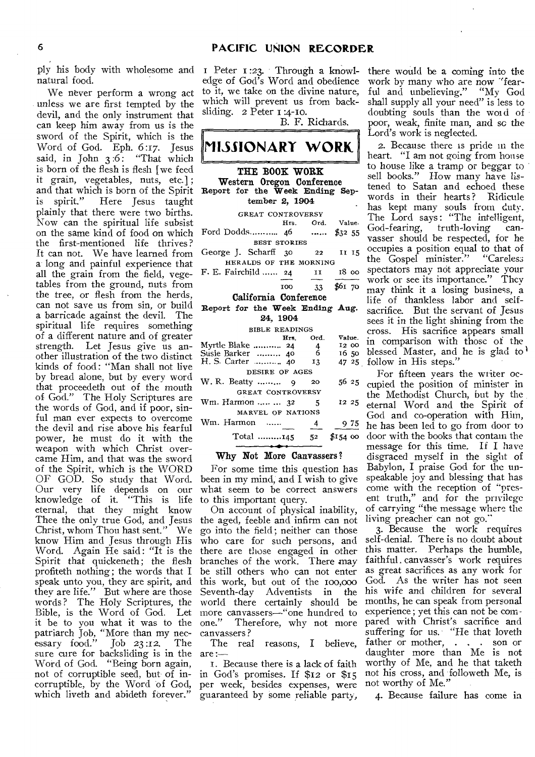ply his body with wholesome and I Peter 1:23. Through a knowlnatural food.

We never perform a wrong act unless we are first tempted by the devil, and the only instrument that can keep him away from us is the sword of the Spirit, which is the Word of God. Eph. 6:17. Jesus said, in John 3:6: "That which is born of the flesh is flesh [we feed it grain, vegetables, nuts, etc.] ; and that which is born of the Spirit<br>is spirit," Here Tesus taught Here Jesus taught plainly that there were two births. Now can the spiritual life subsist on the same kind of food on which the first-mentioned life thrives ? It can not. We have learned from a long and painful experience that all the grain from the field, vegetables from the ground, nuts from the tree, or flesh from the herds, can not save us from sin, or build a barricade against the devil. The spiritual life requires something of a different nature and of greater strength. Let Jesus give us another illustration of the two distinct kinds of food : "Man shall not live by bread alone, but by every word that proceedeth out of the mouth of God." The Holy Scriptures are the words of God, and if poor, sinful man ever expects to overcome the devil and rise above his fearful power, he must do it with the weapon with which Christ overcame Him, and that was the sword of the Spirit, which is the WORD OF GOD. So study that Word. Our very life depends on our knowledge of it. "This is life eternal, that they might know Thee the only true God, and Jesus Christ, whom Thou bast sent." We know Him and Jesus through His Word. Again He said : "It is the Spirit that quickeneth; the flesh profiteth nothing; the words that I speak unto you, they are spirit, and they are life." But where are those words ? The Holy Scriptures, the Bible, is the Word of God. Let it be to you what it was to the patriarch Job, "More than my nec-<br>essary food." Job 23:12. The essary food." Job 23 :12. The sure cure for backsliding is in the Word of God. "Being born again, not of corruptible seed, but of incorruptible, by the Word of God, which liveth and abideth forever."

edge of God's Word and obedience to it, we take on the divine nature, which will prevent us from backsliding. 2 Peter 1:4-10.

B. F. Richards.

# **MISSIONARY WORK. THE BOOK WORK Western Oregon Conference Report for the Week Ending September 2, 1904**  GREAT CONTROVERSY<br>Hrs. Ord. Value. Ford Dodds............. 46 ......... \$32 55 BEST STORIES George J. Scharff 30 22 II 15 HERALDS OF THE MORNING F. E. Fairchild ...... 24 11 18 00 100 33 \$61 70 **California Conference Report for the Week Ending Aug. 24, 1904**  BIBLE READINGS<br>Hrs. Ord. Hrs. Ord. Value.<br>
.. 24 4 12 00<br>
.. 40 6 16 50 Myrtle Blake .......... 24 4 12 00<br>Susie Barker ......... 40 6 16 50 Susie Barker .......... 40 6 16 50<br> **H.** S. Carter ........... 40 13 47 25 DESIRE OF AGES W. R. Beatty ......... 9 20 56 25 GREAT CONTROVERSY

| Wm. Harmon   32   | - 5            | $12\;25$                   |
|-------------------|----------------|----------------------------|
| MARVEL OF NATIONS |                |                            |
| Wm. Harmon ……     | $\overline{4}$ | 975                        |
| Total 145         |                | $52 \quad $154 \text{ oo}$ |

#### **Why Not More Canvassers?**

For some time this question has been in my mind, and I wish to give what seem to be correct answers to this important query.

On account of physical inability, the aged, feeble and infirm can not go into the field; neither can those who care for such persons, and there are those engaged in other branches of the work. There may be still others who can not enter this work, but out of the 100,000<br>Seventh-day Adventists in the Seventh-day Adventists in world there certainly should be more canvassers—"one hundred to<br>one." Therefore, why not more Therefore, why not more canvassers ?

The real reasons, I believe, are :—

I. Because there is a lack of faith in God's promises. If \$12 or \$15 per week, besides expenses, were guaranteed by some reliable party,

there would be a coming into the work by many who are now "fearful and unbelieving." "My God shall supply all your need" is less to doubting souls than the word of poor, weak, finite man, and sc the Lord's work is neglected.

2. Because there is pride in the heart. "I am not going from house to house like a tramp or beggar to sell books." How many have listened to Satan and echoed these words in their hearts ? Ridicule has kept many souls from duty. The Lord says: "The intelligent, God-fearing, truth-loving canvasser should be respected, for he occupies a position equal to that of<br>the Gospel minister." "Careless the Gospel minister." spectators may not appreciate your work or see its importance." They may think it a losing business, a life of thankless labor and selfsacrifice. But the servant of Jesus sees it in the light shining from the cross. His sacrifice appears small in comparison with those of the blessed Master, and he is glad to 47 <sup>25</sup> follow in His steps."

> For fifteen years the writer occupied the position of minister in the Methodist Church, but by the eternal Word and the Spirit of God and co-operation with Him, he has been led to go from door to door with the books that contain the message for this time. If I have disgraced myself in the sight of Babylon, I praise God for the unspeakable joy and blessing that has come with the reception of "present truth," and for the privilege of carrying "the message where the living preacher can not go."

> 3. Because the work requires self-denial. There is no doubt about this matter. Perhaps the humble, faithful, canvasser's work requires as great sacrifices as any work for God. As the writer has not seen his wife and children for several months, he can speak from personal experience; yet this can not be compared with Christ's sacrifice and suffering for us. "He that loveth father or mother, . . . son or daughter more than Me is not worthy of Me, and he that taketh not his cross, and followeth Me, is not worthy of Me."

4. Because failure has come in.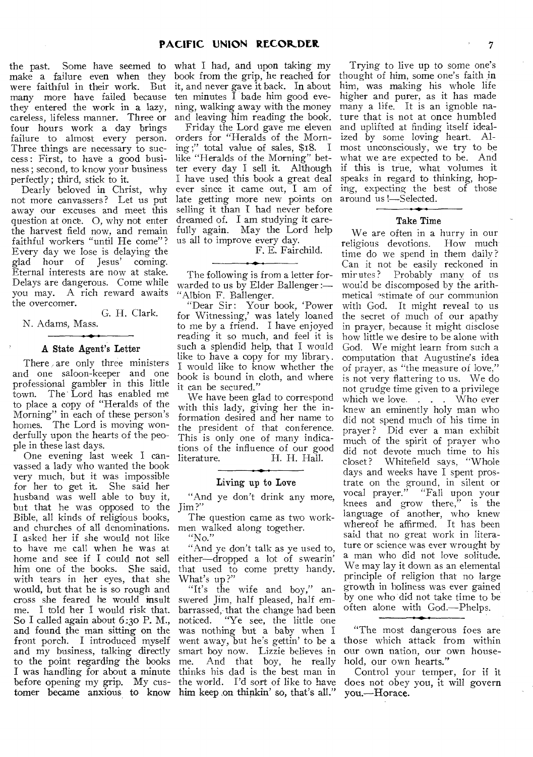the past. Some have seemed to make a failure even when they were faithful in their work. But many more have failed because they entered the work in a lazy, careless, lifeless manner. Three or four hours work a day brings failure to almost every person. Three things are necessary to success : First, to have a good business ; second, to know your business perfectly ; third, stick to it.

Dearly beloved in Christ, why not more canvassers? Let us put away our excuses and meet this question at once. 0, why not enter the harvest field now, and remain faithful workers "until He come"? Every day we lose is delaying the glad hour of Jesus' coming. Eternal interests are now at stake. Delays are dangerous. Come while you may. A rich reward awaits the overcomer.

G. H. Clark.

N. Adams, Mass.

#### A State Agent's Letter

There are only three ministers and one saloon-keeper and one professional gambler in this little town. The Lord has enabled me to place a copy of "Heralds of the Morning" in each of these person's homes. The Lord is moving wonderfully upon the hearts of the people in these last days.

One evening last week I canvassed a lady who wanted the book very much, but it was impossible for her to get it. She said her husband was well able to buy it, but that he was opposed to the Bible, all kinds of religious books, and churches of all denominations. I asked her if she would not like to have me call when he was at home and see if I could not sell him one of the books. She said, with tears in her eyes, that she would, but that he is so rough and cross she feared he would insult me. I told her I would risk that. So I called again about 6:30 P.M., and found the man sitting on the front porch. I introduced myself and my business, talking directly to the point regarding the books I was handling for about a minute before opening my grip. My customer became anxious to know

what I had, and upon taking my book from the grip, he reached for it, and never gave it back. In about ten minutes I bade him good evening, walking away with the money and leaving him reading the book. Friday the Lord gave me eleven orders for "Heralds of the Morning ;" total value of sales, \$18. I like "Heralds of the Morning" better every day I sell it. Although I have used this book a great deal

ever since it came out, I am of late getting more new points on selling it than I had never before dreamed of. I am studying it carefully again. May the Lord help us all to improve every day.

F. E. Fairchild.

The following is from a letter forwarded to us by Elder Ballenger :— "Albion F. Ballenger.

"Dear Sir: Your book, 'Power for Witnessing,' was lately loaned to me by a friend. I have enjoyed reading it so much, and feel it is such a splendid help, that I would like to have a copy for my library. I would like to know whether the hook is bound in cloth, and where it can be secured."

We have been glad to correspond with this lady, giving her the information desired and her name to the president of that conference. This is only one of many indications of the influence of our good<br>literature. H. H. Hall. H. H. Hall.

Living up to Love

"And ye don't drink any more, Jim?"

The question came as two workmen walked along together. "No."

"And ye don't talk as ye used to, either—dropped a lot of swearin' that used to come pretty handy. What's up ?"

"It's the wife and boy," answered Jim, half pleased, half embarrassed, that the change had been<br>noticed. "Ye see, the little one "Ye see, the little one was nothing but a baby when I went away, but he's gettin' to be a smart boy now. Lizzie believes in<br>me. And that boy, he really And that boy, he really thinks his dad is the best man in the world. I'd sort of like to have him keep on thinkin' so, that's all."

Trying to live up to some one's thought of him, some one's faith in him, was making his whole life higher and purer, as it has made many a life. It is an ignoble nature that is not at once humbled and uplifted at finding itself idealized by some loving heart. Almost unconsciously, we try to be what we are expected to be. And if this is true, what volumes it speaks in regard to thinking, hoping, expecting the best of those around us !—Selected.

#### Take Time

We are often in a hurry in our religious devotions. How much time do we spend in them daily? Can it not be easily reckoned in mirutes? Probably many of us would be discomposed by the arithmetical "stimate of our communion with God. It might reveal to us the secret of much of our apathy in prayer, because it might disclose how little we desire to be alone with God. We might learn from such a computation that Augustine's idea of prayer, as "the measure of love," is not very flattering to us. We do not grudge time given to a privilege which we love. . . . Who ever knew an eminently holy man who did not spend much of his time in prayer ? Did ever a man exhibit much of the spirit of prayer who did not devote much time to his closet? Whitefield says, "Whole days and weeks have I spent prostrate on the ground, in silent or vocal prayer." "Fall upon your knees and grow there," is the language of another, who knew whereof he affirmed. It has been said that no great work in literature or science was ever wrought by a man who did not love solitude. We may lay it down as an elemental principle of religion that no large growth in holiness was ever gained by one who did not take time to be often alone with God.—Phelps.

"The most dangerous foes are those which attack from within our own nation, our own household, our own hearts."

Control your temper, for if it does not obey you, it will govern you.—Horace.